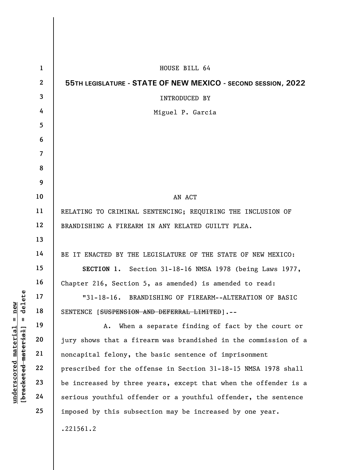|                                                                                                       | $\mathbf{1}$   | HOUSE BILL 64                                                   |
|-------------------------------------------------------------------------------------------------------|----------------|-----------------------------------------------------------------|
|                                                                                                       | $\mathbf{2}$   | 55TH LEGISLATURE - STATE OF NEW MEXICO - SECOND SESSION, 2022   |
|                                                                                                       | 3              | INTRODUCED BY                                                   |
|                                                                                                       | 4              | Miguel P. Garcia                                                |
|                                                                                                       | 5              |                                                                 |
|                                                                                                       | 6              |                                                                 |
|                                                                                                       | $\overline{7}$ |                                                                 |
|                                                                                                       | 8              |                                                                 |
|                                                                                                       | 9              |                                                                 |
|                                                                                                       | 10             | AN ACT                                                          |
|                                                                                                       | 11             | RELATING TO CRIMINAL SENTENCING; REQUIRING THE INCLUSION OF     |
|                                                                                                       | 12             | BRANDISHING A FIREARM IN ANY RELATED GUILTY PLEA.               |
|                                                                                                       | 13             |                                                                 |
|                                                                                                       | 14             | BE IT ENACTED BY THE LEGISLATURE OF THE STATE OF NEW MEXICO:    |
|                                                                                                       | 15             | SECTION 1. Section 31-18-16 NMSA 1978 (being Laws 1977,         |
|                                                                                                       | 16             | Chapter 216, Section 5, as amended) is amended to read:         |
| delete<br>nev<br>Ш<br>Ш<br>material<br>material<br>$\bm{{\rm underscore}}$<br>[ <del>brack</del> eted | 17             | "31-18-16. BRANDISHING OF FIREARM--ALTERATION OF BASIC          |
|                                                                                                       | 18             | SENTENCE [SUSPENSION AND DEFERRAL LIMITED].--                   |
|                                                                                                       | 19             | When a separate finding of fact by the court or<br>Α.           |
|                                                                                                       | 20             | jury shows that a firearm was brandished in the commission of a |
|                                                                                                       | 21             | noncapital felony, the basic sentence of imprisonment           |
|                                                                                                       | 22             | prescribed for the offense in Section 31-18-15 NMSA 1978 shall  |
|                                                                                                       | 23             | be increased by three years, except that when the offender is a |
|                                                                                                       | 24             | serious youthful offender or a youthful offender, the sentence  |
|                                                                                                       | 25             | imposed by this subsection may be increased by one year.        |
|                                                                                                       |                | .221561.2                                                       |